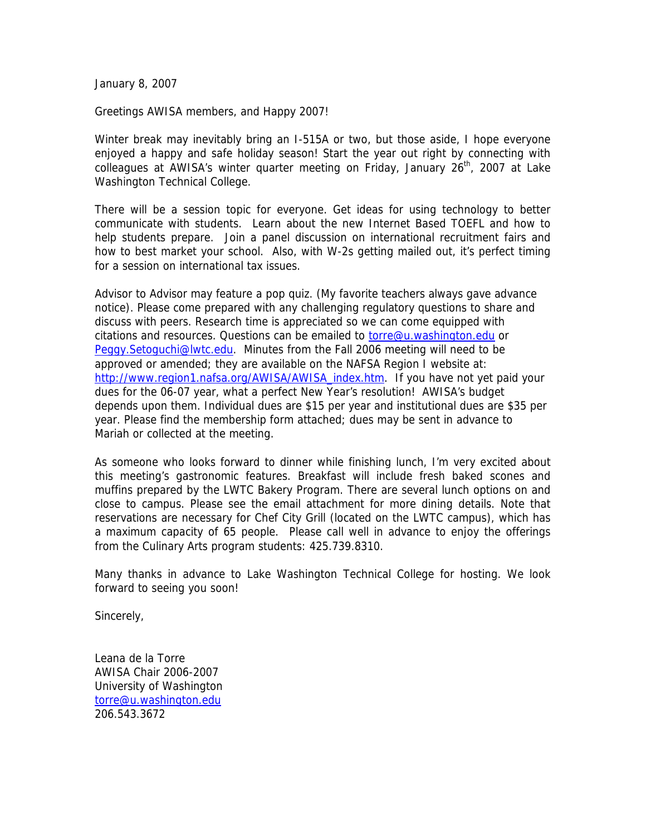January 8, 2007

Greetings AWISA members, and Happy 2007!

Winter break may inevitably bring an I-515A or two, but those aside, I hope everyone enjoyed a happy and safe holiday season! Start the year out right by connecting with colleagues at AWISA's winter quarter meeting on Friday, January  $26<sup>th</sup>$ , 2007 at Lake Washington Technical College.

There will be a session topic for everyone. Get ideas for using technology to better communicate with students. Learn about the new Internet Based TOEFL and how to help students prepare. Join a panel discussion on international recruitment fairs and how to best market your school. Also, with W-2s getting mailed out, it's perfect timing for a session on international tax issues.

Advisor to Advisor may feature a pop quiz. (My favorite teachers always gave advance notice). Please come prepared with any challenging regulatory questions to share and discuss with peers. Research time is appreciated so we can come equipped with citations and resources. Questions can be emailed to [torre@u.washington.edu](mailto:torre@u.washington.edu) or [Peggy.Setoguchi@lwtc.edu](mailto:Peggy.Setoguchi@lwtc.edu). Minutes from the Fall 2006 meeting will need to be approved or amended; they are available on the NAFSA Region I website at: [http://www.region1.nafsa.org/AWISA/AWISA\\_index.htm](http://www.region1.nafsa.org/AWISA/AWISA_index.htm). If you have not yet paid your dues for the 06-07 year, what a perfect New Year's resolution! AWISA's budget depends upon them. Individual dues are \$15 per year and institutional dues are \$35 per year. Please find the membership form attached; dues may be sent in advance to Mariah or collected at the meeting.

As someone who looks forward to dinner while finishing lunch, I'm very excited about this meeting's gastronomic features. Breakfast will include fresh baked scones and muffins prepared by the LWTC Bakery Program. There are several lunch options on and close to campus. Please see the email attachment for more dining details. Note that reservations are necessary for Chef City Grill (located on the LWTC campus), which has a maximum capacity of 65 people. Please call well in advance to enjoy the offerings from the Culinary Arts program students: 425.739.8310.

Many thanks in advance to Lake Washington Technical College for hosting. We look forward to seeing you soon!

Sincerely,

Leana de la Torre AWISA Chair 2006-2007 University of Washington [torre@u.washington.edu](mailto:torre@u.washington.edu) 206.543.3672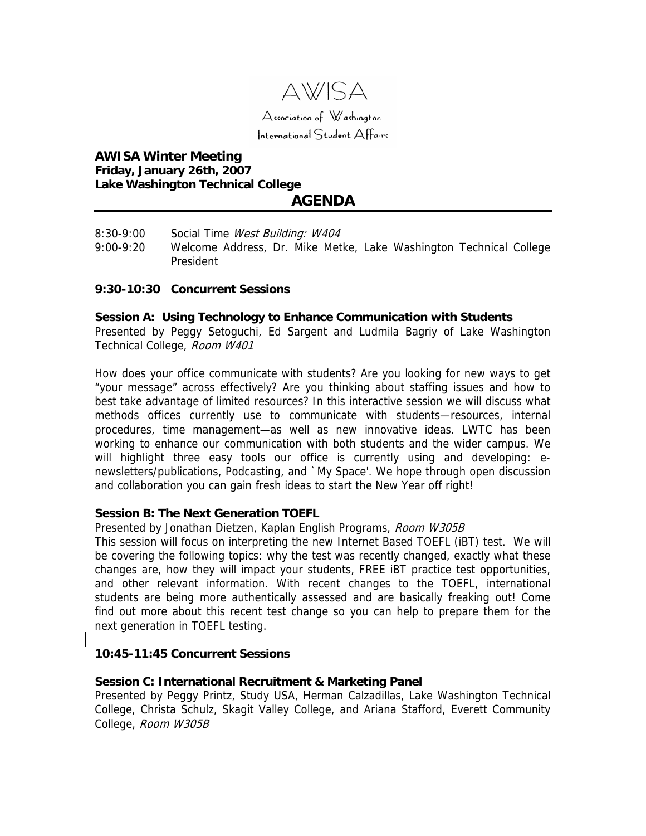

# **AWISA Winter Meeting Friday, January 26th, 2007 Lake Washington Technical College AGENDA**

- 
- 8:30-9:00 Social Time West Building: W404
- 9:00-9:20 Welcome Address, Dr. Mike Metke, Lake Washington Technical College President

### **9:30-10:30 Concurrent Sessions**

#### **Session A: Using Technology to Enhance Communication with Students**

Presented by Peggy Setoguchi, Ed Sargent and Ludmila Bagriy of Lake Washington Technical College, Room W401

How does your office communicate with students? Are you looking for new ways to get "your message" across effectively? Are you thinking about staffing issues and how to best take advantage of limited resources? In this interactive session we will discuss what methods offices currently use to communicate with students—resources, internal procedures, time management—as well as new innovative ideas. LWTC has been working to enhance our communication with both students and the wider campus. We will highlight three easy tools our office is currently using and developing: enewsletters/publications, Podcasting, and `My Space'. We hope through open discussion and collaboration you can gain fresh ideas to start the New Year off right!

# **Session B: The Next Generation TOEFL**

Presented by Jonathan Dietzen, Kaplan English Programs, Room W305B

This session will focus on interpreting the new Internet Based TOEFL (iBT) test. We will be covering the following topics: why the test was recently changed, exactly what these changes are, how they will impact your students, FREE iBT practice test opportunities, and other relevant information. With recent changes to the TOEFL, international students are being more authentically assessed and are basically freaking out! Come find out more about this recent test change so you can help to prepare them for the next generation in TOEFL testing.

### **10:45-11:45 Concurrent Sessions**

### **Session C: International Recruitment & Marketing Panel**

Presented by Peggy Printz, Study USA, Herman Calzadillas, Lake Washington Technical College, Christa Schulz, Skagit Valley College, and Ariana Stafford, Everett Community College, Room W305B